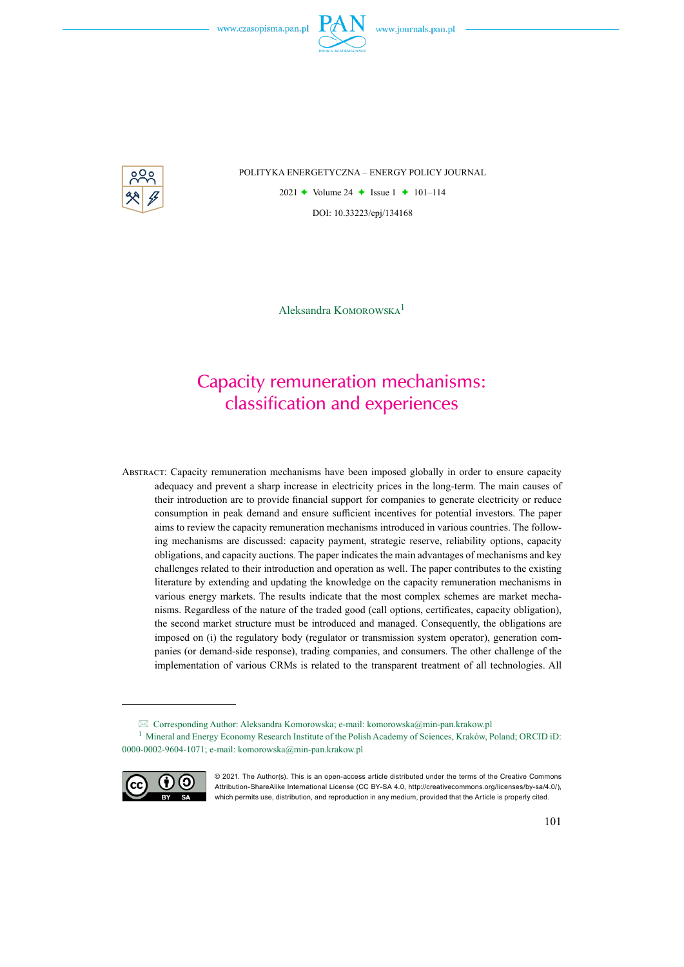

POLITYKA ENERGETYCZNA – ENERGY POLICY JOURNAL

2021  $\triangle$  Volume 24  $\triangle$  Issue 1  $\triangle$  101–114 DOI: 10.33223/epj/134168

Aleksandra Komorowska<sup>1</sup>

# Capacity remuneration mechanisms: classification and experiences

Abstract: Capacity remuneration mechanisms have been imposed globally in order to ensure capacity adequacy and prevent a sharp increase in electricity prices in the long-term. The main causes of their introduction are to provide financial support for companies to generate electricity or reduce consumption in peak demand and ensure sufficient incentives for potential investors. The paper aims to review the capacity remuneration mechanisms introduced in various countries. The following mechanisms are discussed: capacity payment, strategic reserve, reliability options, capacity obligations, and capacity auctions. The paper indicates the main advantages of mechanisms and key challenges related to their introduction and operation as well. The paper contributes to the existing literature by extending and updating the knowledge on the capacity remuneration mechanisms in various energy markets. The results indicate that the most complex schemes are market mechanisms. Regardless of the nature of the traded good (call options, certificates, capacity obligation), the second market structure must be introduced and managed. Consequently, the obligations are imposed on (i) the regulatory body (regulator or transmission system operator), generation companies (or demand-side response), trading companies, and consumers. The other challenge of the implementation of various CRMs is related to the transparent treatment of all technologies. All

 $\boxtimes$  Corresponding Author: Aleksandra Komorowska; e-mail: komorowska@min-pan.krakow.pl <sup>1</sup> Mineral and Energy Economy Research Institute of the Polish Academy of Sciences, Kraków, Poland; ORCID iD: 0000-0002-9604-1071; e-mail: komorowska@min-pan.krakow.pl



<sup>© 2021.</sup> The Author(s). This is an open-access article distributed under the terms of the Creative Commons Attribution-ShareAlike International License (CC BY-SA 4.0, http://creativecommons.org/licenses/by-sa/4.0/), which permits use, distribution, and reproduction in any medium, provided that the Article is properly cited.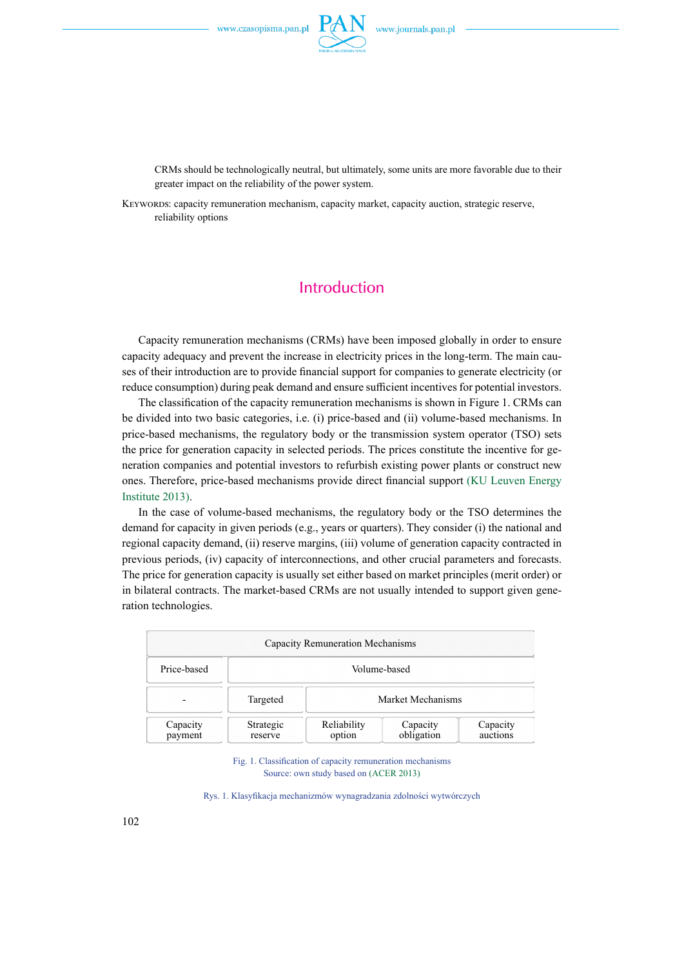

CRMs should be technologically neutral, but ultimately, some units are more favorable due to their greater impact on the reliability of the power system.

KEYWORDS: capacity remuneration mechanism, capacity market, capacity auction, strategic reserve, reliability options

### **Introduction**

Capacity remuneration mechanisms (CRMs) have been imposed globally in order to ensure capacity adequacy and prevent the increase in electricity prices in the long-term. The main causes of their introduction are to provide financial support for companies to generate electricity (or reduce consumption) during peak demand and ensure sufficient incentives for potential investors.

The classification of the capacity remuneration mechanisms is shown in Figure 1. CRMs can be divided into two basic categories, i.e. (i) price-based and (ii) volume-based mechanisms. In price-based mechanisms, the regulatory body or the transmission system operator (TSO) sets the price for generation capacity in selected periods. The prices constitute the incentive for generation companies and potential investors to refurbish existing power plants or construct new ones. Therefore, price-based mechanisms provide direct financial support (KU Leuven Energy Institute 2013).

In the case of volume-based mechanisms, the regulatory body or the TSO determines the demand for capacity in given periods (e.g., years or quarters). They consider (i) the national and regional capacity demand, (ii) reserve margins, (iii) volume of generation capacity contracted in previous periods, (iv) capacity of interconnections, and other crucial parameters and forecasts. The price for generation capacity is usually set either based on market principles (merit order) or in bilateral contracts. The market-based CRMs are not usually intended to support given generation technologies.

| Capacity Remuneration Mechanisms |                      |                       |                        |                      |
|----------------------------------|----------------------|-----------------------|------------------------|----------------------|
| Price-based                      | Volume-based         |                       |                        |                      |
|                                  | Targeted             | Market Mechanisms     |                        |                      |
| Capacity<br>payment              | Strategic<br>reserve | Reliability<br>option | Capacity<br>obligation | Capacity<br>auctions |

Fig. 1. Classification of capacity remuneration mechanisms Source: own study based on (ACER 2013)

Rys. 1. Klasyfikacja mechanizmów wynagradzania zdolności wytwórczych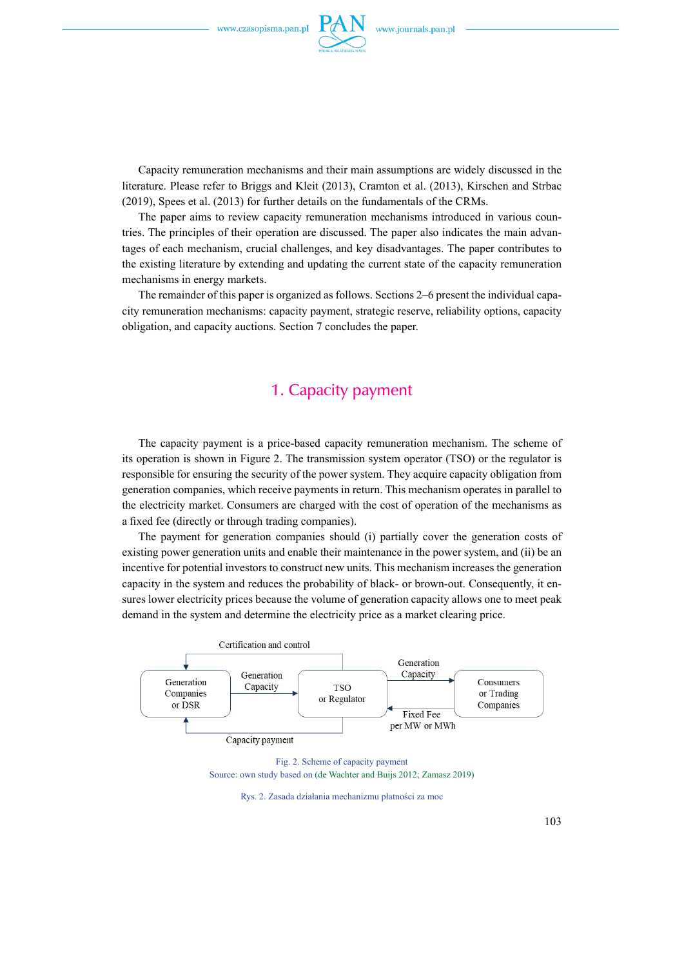

Capacity remuneration mechanisms and their main assumptions are widely discussed in the literature. Please refer to Briggs and Kleit (2013), Cramton et al. (2013), Kirschen and Strbac (2019), Spees et al. (2013) for further details on the fundamentals of the CRMs.

The paper aims to review capacity remuneration mechanisms introduced in various countries. The principles of their operation are discussed. The paper also indicates the main advantages of each mechanism, crucial challenges, and key disadvantages. The paper contributes to the existing literature by extending and updating the current state of the capacity remuneration mechanisms in energy markets.

The remainder of this paper is organized as follows. Sections 2–6 present the individual capacity remuneration mechanisms: capacity payment, strategic reserve, reliability options, capacity obligation, and capacity auctions. Section 7 concludes the paper.

#### 1. Capacity payment

The capacity payment is a price-based capacity remuneration mechanism. The scheme of its operation is shown in [Figure 2](#page-2-0). The transmission system operator (TSO) or the regulator is responsible for ensuring the security of the power system. They acquire capacity obligation from generation companies, which receive payments in return. This mechanism operates in parallel to the electricity market. Consumers are charged with the cost of operation of the mechanisms as a fixed fee (directly or through trading companies).

The payment for generation companies should (i) partially cover the generation costs of existing power generation units and enable their maintenance in the power system, and (ii) be an incentive for potential investors to construct new units. This mechanism increases the generation capacity in the system and reduces the probability of black- or brown-out. Consequently, it ensures lower electricity prices because the volume of generation capacity allows one to meet peak demand in the system and determine the electricity price as a market clearing price.



Fig. 2. Scheme of capacity payment Source: own study based on (de Wachter and Buijs 2012; Zamasz 2019)

<span id="page-2-0"></span>Rys. 2. Zasada działania mechanizmu płatności za moc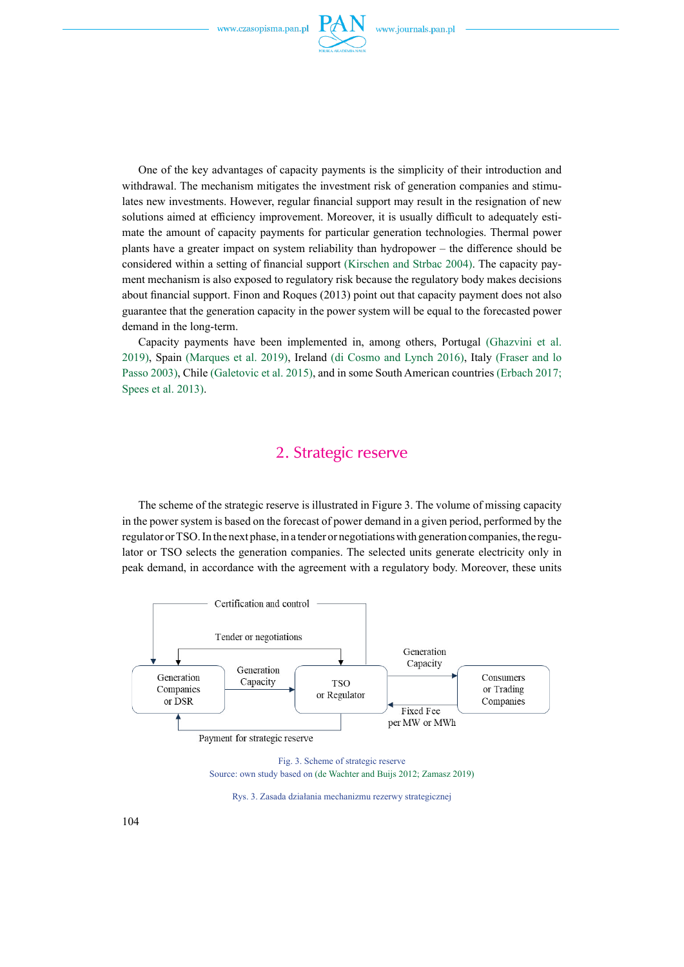

One of the key advantages of capacity payments is the simplicity of their introduction and withdrawal. The mechanism mitigates the investment risk of generation companies and stimulates new investments. However, regular financial support may result in the resignation of new solutions aimed at efficiency improvement. Moreover, it is usually difficult to adequately estimate the amount of capacity payments for particular generation technologies. Thermal power plants have a greater impact on system reliability than hydropower – the difference should be considered within a setting of financial support (Kirschen and Strbac 2004). The capacity payment mechanism is also exposed to regulatory risk because the regulatory body makes decisions about financial support. Finon and Roques (2013) point out that capacity payment does not also guarantee that the generation capacity in the power system will be equal to the forecasted power demand in the long-term.

Capacity payments have been implemented in, among others, Portugal (Ghazvini et al. 2019), Spain (Marques et al. 2019), Ireland (di Cosmo and Lynch 2016), Italy (Fraser and lo Passo 2003), Chile (Galetovic et al. 2015), and in some South American countries (Erbach 2017; Spees et al. 2013).

### 2. Strategic reserve

The scheme of the strategic reserve is illustrated in [Figure 3](#page-3-0). The volume of missing capacity in the power system is based on the forecast of power demand in a given period, performed by the regulator or TSO. In the next phase, in a tender or negotiations with generation companies, the regulator or TSO selects the generation companies. The selected units generate electricity only in peak demand, in accordance with the agreement with a regulatory body. Moreover, these units



Fig. 3. Scheme of strategic reserve Source: own study based on (de Wachter and Buijs 2012; Zamasz 2019)

<span id="page-3-0"></span>Rys. 3. Zasada działania mechanizmu rezerwy strategicznej

104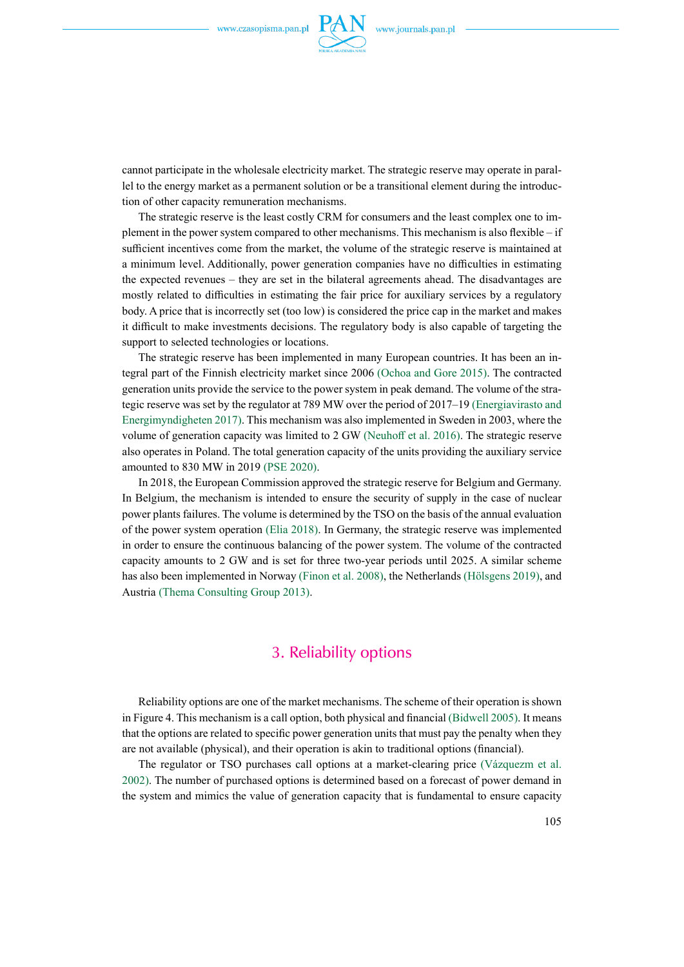

cannot participate in the wholesale electricity market. The strategic reserve may operate in parallel to the energy market as a permanent solution or be a transitional element during the introduction of other capacity remuneration mechanisms.

The strategic reserve is the least costly CRM for consumers and the least complex one to implement in the power system compared to other mechanisms. This mechanism is also flexible – if sufficient incentives come from the market, the volume of the strategic reserve is maintained at a minimum level. Additionally, power generation companies have no difficulties in estimating the expected revenues – they are set in the bilateral agreements ahead. The disadvantages are mostly related to difficulties in estimating the fair price for auxiliary services by a regulatory body. A price that is incorrectly set (too low) is considered the price cap in the market and makes it difficult to make investments decisions. The regulatory body is also capable of targeting the support to selected technologies or locations.

The strategic reserve has been implemented in many European countries. It has been an integral part of the Finnish electricity market since 2006 (Ochoa and Gore 2015). The contracted generation units provide the service to the power system in peak demand. The volume of the strategic reserve was set by the regulator at 789 MW over the period of 2017–19 (Energiavirasto and Energimyndigheten 2017). This mechanism was also implemented in Sweden in 2003, where the volume of generation capacity was limited to 2 GW (Neuhoff et al. 2016). The strategic reserve also operates in Poland. The total generation capacity of the units providing the auxiliary service amounted to 830 MW in 2019 (PSE 2020).

In 2018, the European Commission approved the strategic reserve for Belgium and Germany. In Belgium, the mechanism is intended to ensure the security of supply in the case of nuclear power plants failures. The volume is determined by the TSO on the basis of the annual evaluation of the power system operation (Elia 2018). In Germany, the strategic reserve was implemented in order to ensure the continuous balancing of the power system. The volume of the contracted capacity amounts to 2 GW and is set for three two-year periods until 2025. A similar scheme has also been implemented in Norway (Finon et al. 2008), the Netherlands (Hölsgens 2019), and Austria (Thema Consulting Group 2013).

#### 3. Reliability options

Reliability options are one of the market mechanisms. The scheme of their operation is shown in [Figure 4](#page-5-0). This mechanism is a call option, both physical and financial (Bidwell 2005). It means that the options are related to specific power generation units that must pay the penalty when they are not available (physical), and their operation is akin to traditional options (financial).

The regulator or TSO purchases call options at a market-clearing price (Vázquezm et al. 2002). The number of purchased options is determined based on a forecast of power demand in the system and mimics the value of generation capacity that is fundamental to ensure capacity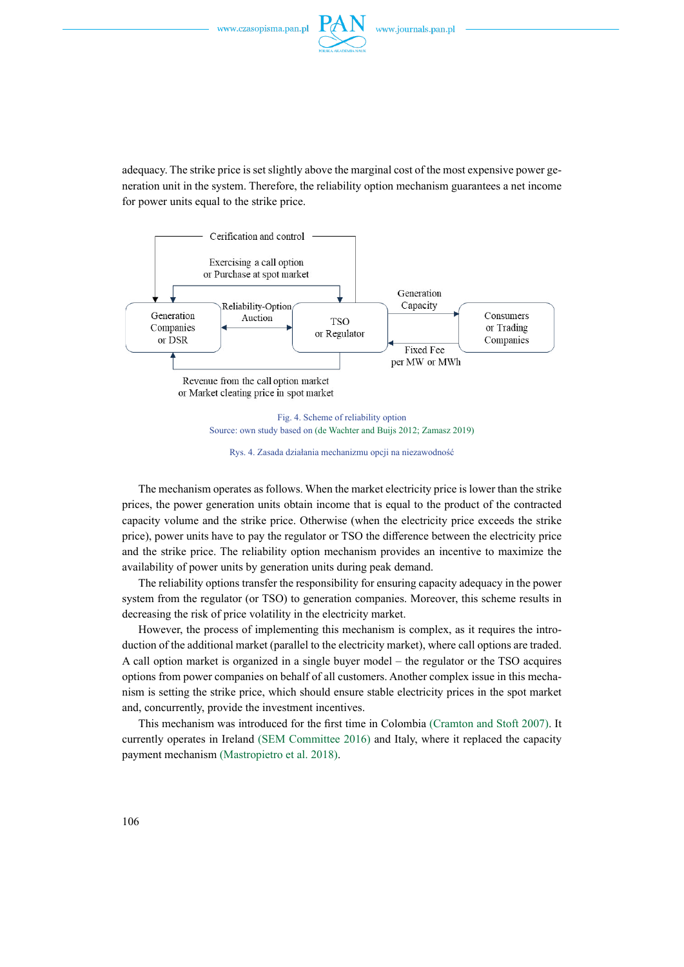

adequacy. The strike price is set slightly above the marginal cost of the most expensive power generation unit in the system. Therefore, the reliability option mechanism guarantees a net income for power units equal to the strike price.



Source: own study based on (de Wachter and Buijs 2012; Zamasz 2019)

<span id="page-5-0"></span>Rys. 4. Zasada działania mechanizmu opcji na niezawodność

The mechanism operates as follows. When the market electricity price is lower than the strike prices, the power generation units obtain income that is equal to the product of the contracted capacity volume and the strike price. Otherwise (when the electricity price exceeds the strike price), power units have to pay the regulator or TSO the difference between the electricity price and the strike price. The reliability option mechanism provides an incentive to maximize the availability of power units by generation units during peak demand.

The reliability options transfer the responsibility for ensuring capacity adequacy in the power system from the regulator (or TSO) to generation companies. Moreover, this scheme results in decreasing the risk of price volatility in the electricity market.

However, the process of implementing this mechanism is complex, as it requires the introduction of the additional market (parallel to the electricity market), where call options are traded. A call option market is organized in a single buyer model – the regulator or the TSO acquires options from power companies on behalf of all customers. Another complex issue in this mechanism is setting the strike price, which should ensure stable electricity prices in the spot market and, concurrently, provide the investment incentives.

This mechanism was introduced for the first time in Colombia (Cramton and Stoft 2007). It currently operates in Ireland (SEM Committee 2016) and Italy, where it replaced the capacity payment mechanism (Mastropietro et al. 2018).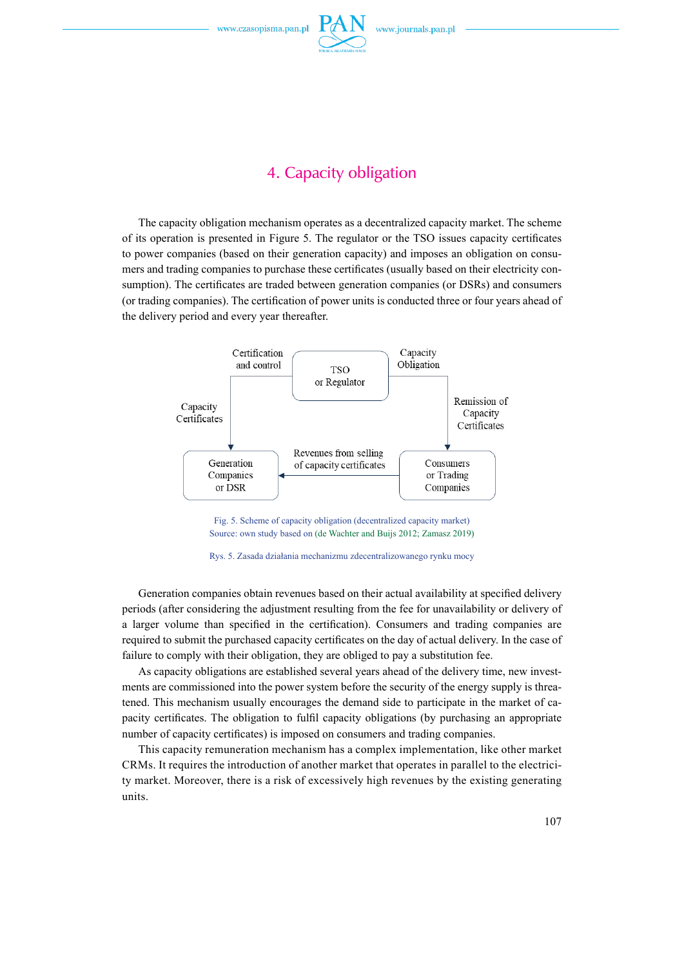

### 4. Capacity obligation

The capacity obligation mechanism operates as a decentralized capacity market. The scheme of its operation is presented in [Figure 5.](#page-6-0) The regulator or the TSO issues capacity certificates to power companies (based on their generation capacity) and imposes an obligation on consumers and trading companies to purchase these certificates (usually based on their electricity consumption). The certificates are traded between generation companies (or DSRs) and consumers (or trading companies). The certification of power units is conducted three or four years ahead of the delivery period and every year thereafter.



<span id="page-6-0"></span>Fig. 5. Scheme of capacity obligation (decentralized capacity market) Source: own study based on (de Wachter and Buijs 2012; Zamasz 2019)



Generation companies obtain revenues based on their actual availability at specified delivery periods (after considering the adjustment resulting from the fee for unavailability or delivery of a larger volume than specified in the certification). Consumers and trading companies are required to submit the purchased capacity certificates on the day of actual delivery. In the case of failure to comply with their obligation, they are obliged to pay a substitution fee.

As capacity obligations are established several years ahead of the delivery time, new investments are commissioned into the power system before the security of the energy supply is threatened. This mechanism usually encourages the demand side to participate in the market of capacity certificates. The obligation to fulfil capacity obligations (by purchasing an appropriate number of capacity certificates) is imposed on consumers and trading companies.

This capacity remuneration mechanism has a complex implementation, like other market CRMs. It requires the introduction of another market that operates in parallel to the electricity market. Moreover, there is a risk of excessively high revenues by the existing generating units.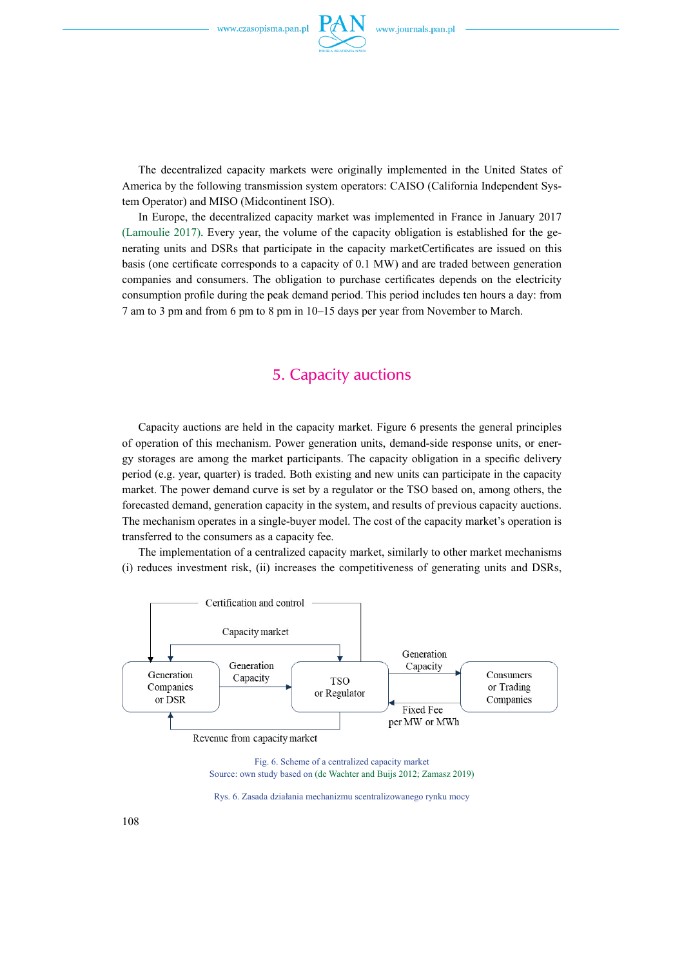

The decentralized capacity markets were originally implemented in the United States of America by the following transmission system operators: CAISO (California Independent System Operator) and MISO (Midcontinent ISO).

In Europe, the decentralized capacity market was implemented in France in January 2017 (Lamoulie 2017). Every year, the volume of the capacity obligation is established for the generating units and DSRs that participate in the capacity marketCertificates are issued on this basis (one certificate corresponds to a capacity of 0.1 MW) and are traded between generation companies and consumers. The obligation to purchase certificates depends on the electricity consumption profile during the peak demand period. This period includes ten hours a day: from 7 am to 3 pm and from 6 pm to 8 pm in 10–15 days per year from November to March.

### 5. Capacity auctions

Capacity auctions are held in the capacity market. Figure 6 presents the general principles of operation of this mechanism. Power generation units, demand-side response units, or energy storages are among the market participants. The capacity obligation in a specific delivery period (e.g. year, quarter) is traded. Both existing and new units can participate in the capacity market. The power demand curve is set by a regulator or the TSO based on, among others, the forecasted demand, generation capacity in the system, and results of previous capacity auctions. The mechanism operates in a single-buyer model. The cost of the capacity market's operation is transferred to the consumers as a capacity fee.

The implementation of a centralized capacity market, similarly to other market mechanisms (i) reduces investment risk, (ii) increases the competitiveness of generating units and DSRs,





Rys. 6. Zasada działania mechanizmu scentralizowanego rynku mocy

108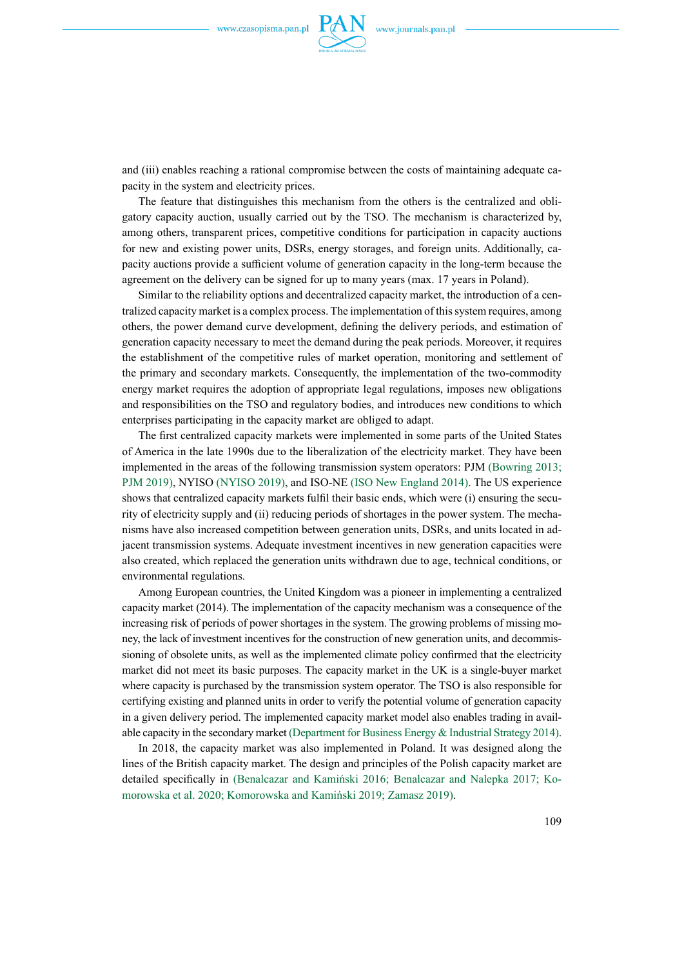

and (iii) enables reaching a rational compromise between the costs of maintaining adequate capacity in the system and electricity prices.

The feature that distinguishes this mechanism from the others is the centralized and obligatory capacity auction, usually carried out by the TSO. The mechanism is characterized by, among others, transparent prices, competitive conditions for participation in capacity auctions for new and existing power units, DSRs, energy storages, and foreign units. Additionally, capacity auctions provide a sufficient volume of generation capacity in the long-term because the agreement on the delivery can be signed for up to many years (max. 17 years in Poland).

Similar to the reliability options and decentralized capacity market, the introduction of a centralized capacity market is a complex process. The implementation of this system requires, among others, the power demand curve development, defining the delivery periods, and estimation of generation capacity necessary to meet the demand during the peak periods. Moreover, it requires the establishment of the competitive rules of market operation, monitoring and settlement of the primary and secondary markets. Consequently, the implementation of the two-commodity energy market requires the adoption of appropriate legal regulations, imposes new obligations and responsibilities on the TSO and regulatory bodies, and introduces new conditions to which enterprises participating in the capacity market are obliged to adapt.

The first centralized capacity markets were implemented in some parts of the United States of America in the late 1990s due to the liberalization of the electricity market. They have been implemented in the areas of the following transmission system operators: PJM (Bowring 2013; PJM 2019), NYISO (NYISO 2019), and ISO-NE (ISO New England 2014). The US experience shows that centralized capacity markets fulfil their basic ends, which were (i) ensuring the security of electricity supply and (ii) reducing periods of shortages in the power system. The mechanisms have also increased competition between generation units, DSRs, and units located in adjacent transmission systems. Adequate investment incentives in new generation capacities were also created, which replaced the generation units withdrawn due to age, technical conditions, or environmental regulations.

Among European countries, the United Kingdom was a pioneer in implementing a centralized capacity market (2014). The implementation of the capacity mechanism was a consequence of the increasing risk of periods of power shortages in the system. The growing problems of missing money, the lack of investment incentives for the construction of new generation units, and decommissioning of obsolete units, as well as the implemented climate policy confirmed that the electricity market did not meet its basic purposes. The capacity market in the UK is a single-buyer market where capacity is purchased by the transmission system operator. The TSO is also responsible for certifying existing and planned units in order to verify the potential volume of generation capacity in a given delivery period. The implemented capacity market model also enables trading in available capacity in the secondary market (Department for Business Energy & Industrial Strategy 2014).

In 2018, the capacity market was also implemented in Poland. It was designed along the lines of the British capacity market. The design and principles of the Polish capacity market are detailed specifically in (Benalcazar and Kamiński 2016; Benalcazar and Nalepka 2017; Komorowska et al. 2020; Komorowska and Kamiński 2019; Zamasz 2019).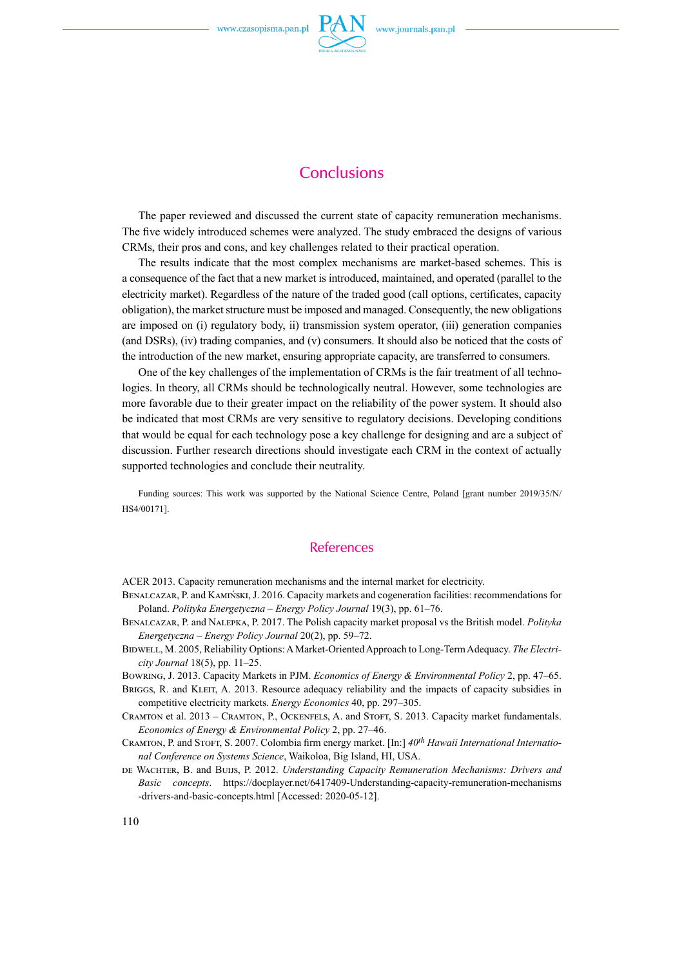

### **Conclusions**

The paper reviewed and discussed the current state of capacity remuneration mechanisms. The five widely introduced schemes were analyzed. The study embraced the designs of various CRMs, their pros and cons, and key challenges related to their practical operation.

The results indicate that the most complex mechanisms are market-based schemes. This is a consequence of the fact that a new market is introduced, maintained, and operated (parallel to the electricity market). Regardless of the nature of the traded good (call options, certificates, capacity obligation), the market structure must be imposed and managed. Consequently, the new obligations are imposed on (i) regulatory body, ii) transmission system operator, (iii) generation companies (and DSRs), (iv) trading companies, and (v) consumers. It should also be noticed that the costs of the introduction of the new market, ensuring appropriate capacity, are transferred to consumers.

One of the key challenges of the implementation of CRMs is the fair treatment of all technologies. In theory, all CRMs should be technologically neutral. However, some technologies are more favorable due to their greater impact on the reliability of the power system. It should also be indicated that most CRMs are very sensitive to regulatory decisions. Developing conditions that would be equal for each technology pose a key challenge for designing and are a subject of discussion. Further research directions should investigate each CRM in the context of actually supported technologies and conclude their neutrality.

Funding sources: This work was supported by the National Science Centre, Poland [grant number 2019/35/N/ HS4/00171].

#### References

ACER 2013. Capacity remuneration mechanisms and the internal market for electricity.

- Benalcazar, P. and Kamiński, J. 2016. Capacity markets and cogeneration facilities: recommendations for Poland. *Polityka Energetyczna – Energy Policy Journal* 19(3), pp. 61–76.
- Benalcazar, P. and Nalepka, P. 2017. The Polish capacity market proposal vs the British model. *Polityka Energetyczna – Energy Policy Journal* 20(2), pp. 59–72.
- Bidwell, M. 2005, Reliability Options: AMarket-Oriented Approach to Long-Term Adequacy. *The Electricity Journal* 18(5), pp. 11–25.

Bowring, J. 2013. Capacity Markets in PJM. *Economics of Energy & Environmental Policy* 2, pp. 47–65.

- BRIGGS, R. and KLEIT, A. 2013. Resource adequacy reliability and the impacts of capacity subsidies in competitive electricity markets. *Energy Economics* 40, pp. 297–305.
- Cramton et al. 2013 Cramton, P., Ockenfels, A. and Stoft, S. 2013. Capacity market fundamentals. *Economics of Energy & Environmental Policy* 2, pp. 27–46.
- CRAMTON, P. and STOFT, S. 2007. Colombia firm energy market. [In:]  $40^{th}$  Hawaii International Internatio*nal Conference on Systems Science*, Waikoloa, Big Island, HI, USA.
- de Wachter, B. and Buijs, P. 2012. *Understanding Capacity Remuneration Mechanisms: Drivers and Basic concepts*. https://docplayer.net/6417409-Understanding-capacity-remuneration-mechanisms -drivers-and-basic-concepts.html [Accessed: 2020-05-12].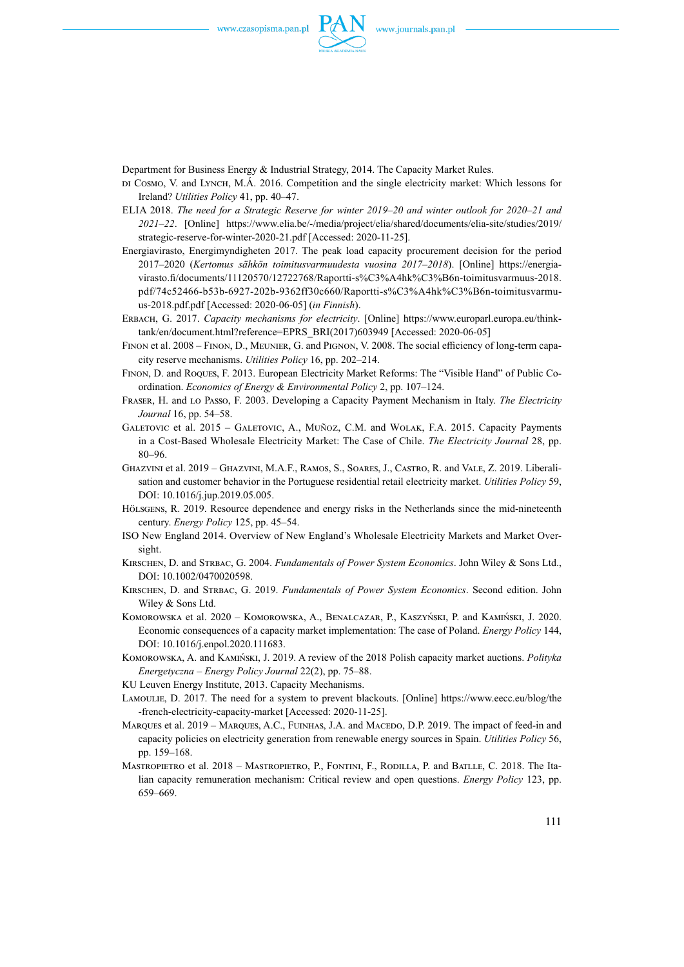

Department for Business Energy & Industrial Strategy, 2014. The Capacity Market Rules.

- di Cosmo, V. and Lynch, M.Á. 2016. Competition and the single electricity market: Which lessons for Ireland? *Utilities Policy* 41, pp. 40–47.
- Elia 2018. *The need for a Strategic Reserve for winter 2019–20 and winter outlook for 2020–21 and 2021–22*. [Online] https://www.elia.be/-/media/project/elia/shared/documents/elia-site/studies/2019/ strategic-reserve-for-winter-2020-21.pdf [Accessed: 2020-11-25].
- Energiavirasto, Energimyndigheten 2017. The peak load capacity procurement decision for the period 2017–2020 (*Kertomus sähkön toimitusvarmuudesta vuosina 2017–2018*). [Online] https://energiavirasto.fi/documents/11120570/12722768/Raportti-s%C3%A4hk%C3%B6n-toimitusvarmuus-2018. pdf/74c52466-b53b-6927-202b-9362ff30c660/Raportti-s%C3%A4hk%C3%B6n-toimitusvarmuus-2018.pdf.pdf [Accessed: 2020-06-05] (*in Finnish*).
- Erbach, G. 2017. *Capacity mechanisms for electricity*. [Online] https://www.europarl.europa.eu/thinktank/en/document.html?reference=EPRS\_BRI(2017)603949 [Accessed: 2020-06-05]
- Finon et al. 2008 Finon, D., Meunier, G. and Pignon, V. 2008. The social efficiency of long-term capacity reserve mechanisms. *Utilities Policy* 16, pp. 202–214.
- Finon, D. and Roques, F. 2013. European Electricity Market Reforms: The "Visible Hand" of Public Coordination. *Economics of Energy & Environmental Policy* 2, pp. 107–124.
- Fraser, H. and lo Passo, F. 2003. Developing a Capacity Payment Mechanism in Italy. *The Electricity Journal* 16, pp. 54–58.
- Galetovic et al. 2015 Galetovic, A., Muñoz, C.M. and Wolak, F.A. 2015. Capacity Payments in a Cost-Based Wholesale Electricity Market: The Case of Chile. *The Electricity Journal* 28, pp. 80–96.
- Ghazvini et al. 2019 Ghazvini, M.A.F., Ramos, S., Soares, J., Castro, R. and Vale, Z. 2019. Liberalisation and customer behavior in the Portuguese residential retail electricity market. *Utilities Policy* 59, DOI: 10.1016/j.jup.2019.05.005.
- Hölsgens, R. 2019. Resource dependence and energy risks in the Netherlands since the mid-nineteenth century. *Energy Policy* 125, pp. 45–54.
- ISO New England 2014. Overview of New England's Wholesale Electricity Markets and Market Oversight.
- Kirschen, D. and Strbac, G. 2004. *Fundamentals of Power System Economics*. John Wiley & Sons Ltd., DOI: 10.1002/0470020598.
- KIRSCHEN, D. and STRBAC, G. 2019. *Fundamentals of Power System Economics*. Second edition. John Wiley & Sons Ltd.
- Komorowska et al. 2020 Komorowska, A., Benalcazar, P., Kaszyński, P. and Kamiński, J. 2020. Economic consequences of a capacity market implementation: The case of Poland. *Energy Policy* 144, DOI: 10.1016/j.enpol.2020.111683.
- Komorowska, A. and Kamiński, J. 2019. A review of the 2018 Polish capacity market auctions. *Polityka Energetyczna – Energy Policy Journal* 22(2), pp. 75–88.
- KU Leuven Energy Institute, 2013. Capacity Mechanisms.
- Lamoulie, D. 2017. The need for a system to prevent blackouts. [Online] https://www.eecc.eu/blog/the -french-electricity-capacity-market [Accessed: 2020-11-25].
- MARQUES et al. 2019 MARQUES, A.C., FUINHAS, J.A. and MACEDO, D.P. 2019. The impact of feed-in and capacity policies on electricity generation from renewable energy sources in Spain. *Utilities Policy* 56, pp. 159–168.
- Mastropietro et al. 2018 Mastropietro, P., Fontini, F., Rodilla, P. and Batlle, C. 2018. The Italian capacity remuneration mechanism: Critical review and open questions. *Energy Policy* 123, pp. 659–669.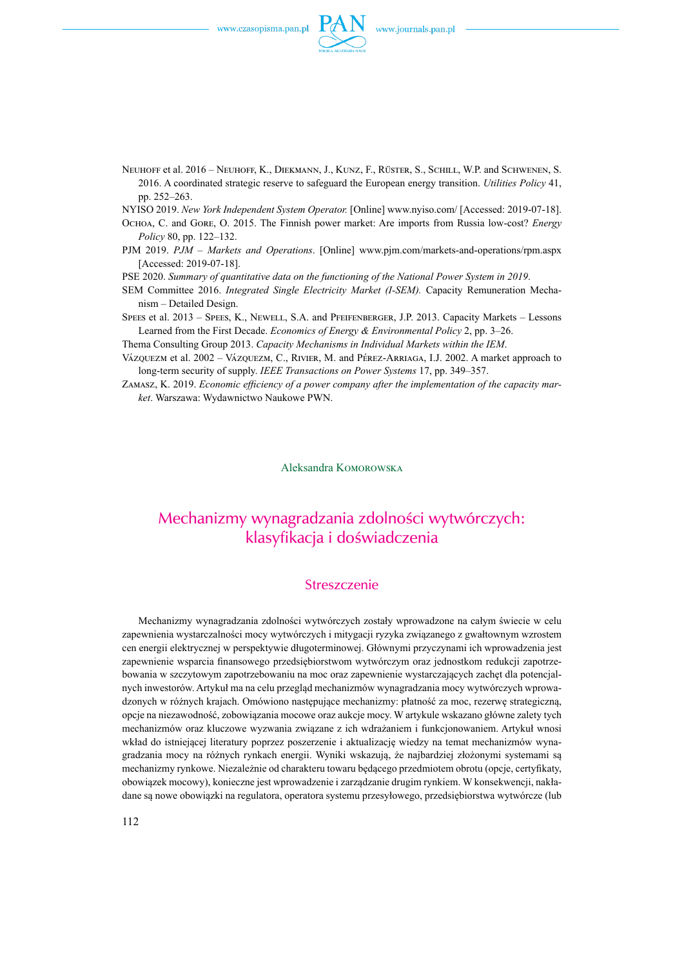

Neuhoff et al. 2016 – Neuhoff, K., Diekmann, J., Kunz, F., Rüster, S., Schill, W.P. and Schwenen, S. 2016. A coordinated strategic reserve to safeguard the European energy transition. *Utilities Policy* 41, pp. 252–263.

NYISO 2019. *New York Independent System Operator.* [Online] www.nyiso.com/ [Accessed: 2019-07-18].

- Ochoa, C. and Gore, O. 2015. The Finnish power market: Are imports from Russia low-cost? *Energy Policy* 80, pp. 122–132.
- PJM 2019. *PJM Markets and Operations*. [Online] www.pjm.com/markets-and-operations/rpm.aspx [Accessed: 2019-07-18].

PSE 2020. *Summary of quantitative data on the functioning of the National Power System in 2019*.

- SEM Committee 2016. *Integrated Single Electricity Market (I-SEM).* Capacity Remuneration Mechanism – Detailed Design.
- Spees et al. 2013 Spees, K., Newell, S.A. and Pfeifenberger, J.P. 2013. Capacity Markets Lessons Learned from the First Decade. *Economics of Energy & Environmental Policy* 2, pp. 3–26.
- Thema Consulting Group 2013. *Capacity Mechanisms in Individual Markets within the IEM*.
- Vázquezm et al. 2002 Vázquezm, C., Rivier, M. and Pérez-Arriaga, I.J. 2002. A market approach to long-term security of supply. *IEEE Transactions on Power Systems* 17, pp. 349–357.
- Zamasz, K. 2019. *Economic efficiency of a power company after the implementation of the capacity market*. Warszawa: Wydawnictwo Naukowe PWN.

Aleksandra Komorowska

## Mechanizmy wynagradzania zdolności wytwórczych: klasyfikacja i doświadczenia

#### Streszczenie

Mechanizmy wynagradzania zdolności wytwórczych zostały wprowadzone na całym świecie w celu zapewnienia wystarczalności mocy wytwórczych i mitygacji ryzyka związanego z gwałtownym wzrostem cen energii elektrycznej w perspektywie długoterminowej. Głównymi przyczynami ich wprowadzenia jest zapewnienie wsparcia finansowego przedsiębiorstwom wytwórczym oraz jednostkom redukcji zapotrzebowania w szczytowym zapotrzebowaniu na moc oraz zapewnienie wystarczających zachęt dla potencjalnych inwestorów. Artykuł ma na celu przegląd mechanizmów wynagradzania mocy wytwórczych wprowadzonych w różnych krajach. Omówiono następujące mechanizmy: płatność za moc, rezerwę strategiczną, opcje na niezawodność, zobowiązania mocowe oraz aukcje mocy. W artykule wskazano główne zalety tych mechanizmów oraz kluczowe wyzwania związane z ich wdrażaniem i funkcjonowaniem. Artykuł wnosi wkład do istniejącej literatury poprzez poszerzenie i aktualizację wiedzy na temat mechanizmów wynagradzania mocy na różnych rynkach energii. Wyniki wskazują, że najbardziej złożonymi systemami są mechanizmy rynkowe. Niezależnie od charakteru towaru będącego przedmiotem obrotu (opcje, certyfikaty, obowiązek mocowy), konieczne jest wprowadzenie i zarządzanie drugim rynkiem. W konsekwencji, nakładane są nowe obowiązki na regulatora, operatora systemu przesyłowego, przedsiębiorstwa wytwórcze (lub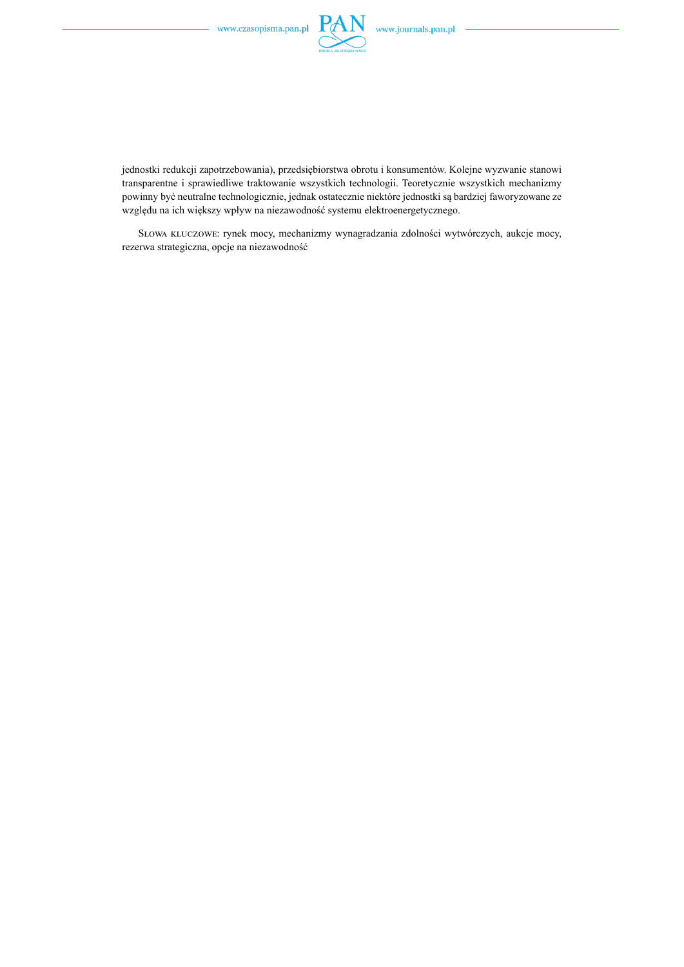

jednostki redukcji zapotrzebowania), przedsiębiorstwa obrotu i konsumentów. Kolejne wyzwanie stanowi transparentne i sprawiedliwe traktowanie wszystkich technologii. Teoretycznie wszystkich mechanizmy powinny być neutralne technologicznie, jednak ostatecznie niektóre jednostki są bardziej faworyzowane ze względu na ich większy wpływ na niezawodność systemu elektroenergetycznego.

Słowa kluczowe: rynek mocy, mechanizmy wynagradzania zdolności wytwórczych, aukcje mocy, rezerwa strategiczna, opcje na niezawodność